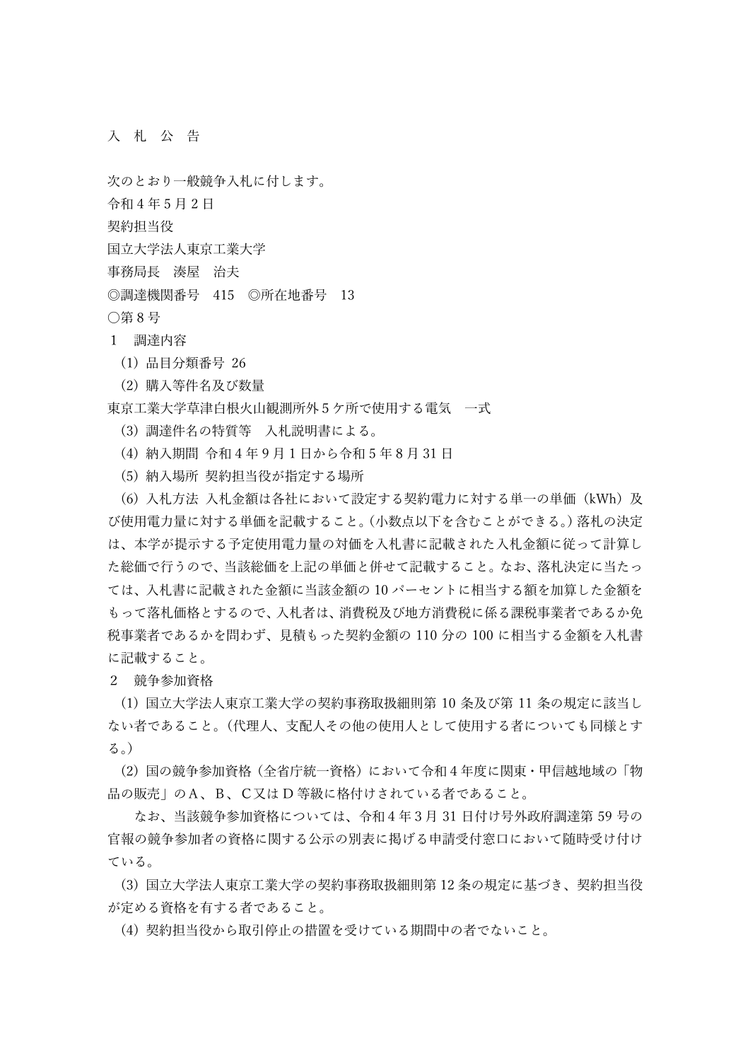## 入 札 公 告

次のとおり一般競争入札に付します。

令和 4 年 5 月 2 日

契約担当役

国立大学法人東京工業大学

事務局長 湊屋 治夫

◎調達機関番号 415 ◎所在地番号 13

○第 8 号

1 調達内容

(1) 品目分類番号 26

(2) 購入等件名及び数量

東京工業大学草津白根火山観測所外5ケ所で使用する電気 一式

(3) 調達件名の特質等 入札説明書による。

(4) 納入期間 令和 4 年 9 月 1 日から令和 5 年 8 月 31 日

(5) 納入場所 契約担当役が指定する場所

 (6) 入札方法 入札金額は各社において設定する契約電力に対する単一の単価(kWh)及 び使用電力量に対する単価を記載すること。(小数点以下を含むことができる。)落札の決定 は、本学が提示する予定使用電力量の対価を入札書に記載された入札金額に従って計算し た総価で行うので、当該総価を上記の単価と併せて記載すること。なお、落札決定に当たっ ては、入札書に記載された金額に当該金額の 10 パーセントに相当する額を加算した金額を もって落札価格とするので、入札者は、消費税及び地方消費税に係る課税事業者であるか免 税事業者であるかを問わず、見積もった契約金額の 110 分の 100 に相当する金額を入札書 に記載すること。

2 競争参加資格

 (1) 国立大学法人東京工業大学の契約事務取扱細則第 10 条及び第 11 条の規定に該当し ない者であること。(代理人、支配人その他の使用人として使用する者についても同様とす る。)

 (2) 国の競争参加資格(全省庁統一資格)において令和4年度に関東・甲信越地域の「物 品の販売」のA、B、C又は D 等級に格付けされている者であること。

 なお、当該競争参加資格については、令和4年3月 31 日付け号外政府調達第 59 号の 官報の競争参加者の資格に関する公示の別表に掲げる申請受付窓口において随時受け付け ている。

 (3) 国立大学法人東京工業大学の契約事務取扱細則第 12 条の規定に基づき、契約担当役 が定める資格を有する者であること。

(4) 契約担当役から取引停止の措置を受けている期間中の者でないこと。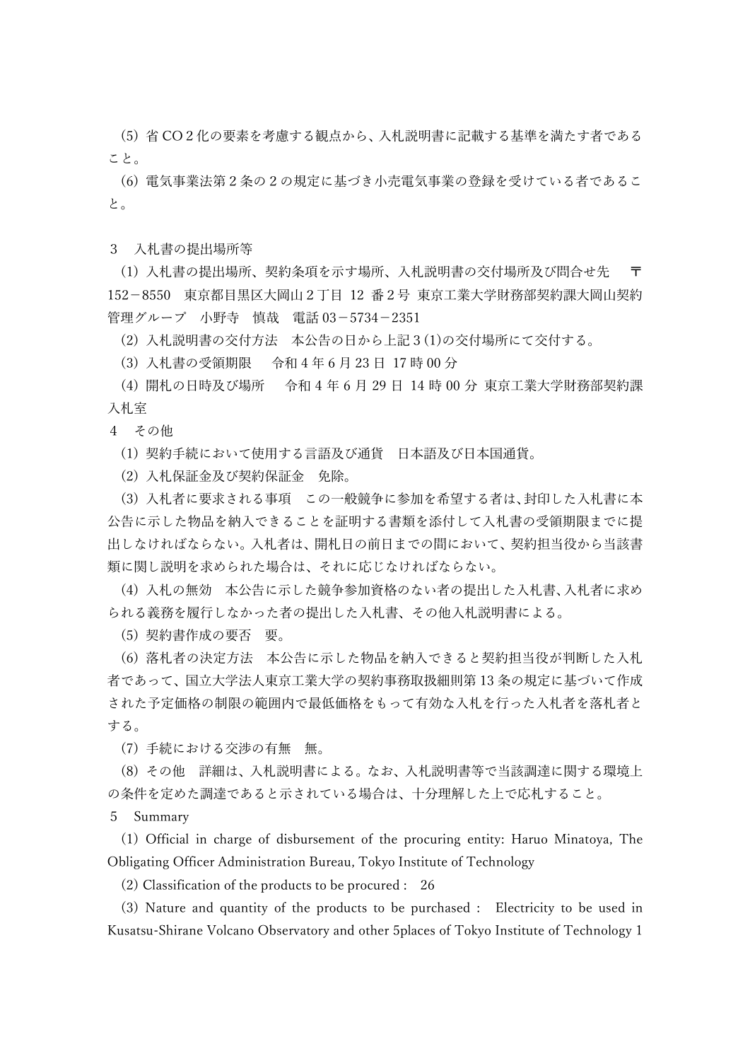(5) 省 CO2化の要素を考慮する観点から、入札説明書に記載する基準を満たす者である こと。

 (6) 電気事業法第2条の2の規定に基づき小売電気事業の登録を受けている者であるこ と。

3 入札書の提出場所等

(1) 入札書の提出場所、契約条項を示す場所、入札説明書の交付場所及び間合せ先 152-8550 東京都目黒区大岡山2丁目 12 番2号 東京工業大学財務部契約課大岡山契約 管理グループ 小野寺 慎哉 電話 03-5734-2351

(2) 入札説明書の交付方法 本公告の日から上記3(1)の交付場所にて交付する。

(3) 入札書の受領期限 令和 4 年 6 月 23 日 17 時 00 分

 (4) 開札の日時及び場所 令和 4 年 6 月 29 日 14 時 00 分 東京工業大学財務部契約課 入札室

4 その他

(1) 契約手続において使用する言語及び通貨 日本語及び日本国通貨。

(2) 入札保証金及び契約保証金 免除。

 (3) 入札者に要求される事項 この一般競争に参加を希望する者は、封印した入札書に本 公告に示した物品を納入できることを証明する書類を添付して入札書の受領期限までに提 出しなければならない。入札者は、開札日の前日までの間において、契約担当役から当該書 類に関し説明を求められた場合は、それに応じなければならない。

 (4) 入札の無効 本公告に示した競争参加資格のない者の提出した入札書、入札者に求め られる義務を履行しなかった者の提出した入札書、その他入札説明書による。

(5) 契約書作成の要否 要。

 (6) 落札者の決定方法 本公告に示した物品を納入できると契約担当役が判断した入札 者であって、国立大学法人東京工業大学の契約事務取扱細則第 13 条の規定に基づいて作成 された予定価格の制限の範囲内で最低価格をもって有効な入札を行った入札者を落札者と する。

(7) 手続における交渉の有無 無。

 (8) その他 詳細は、入札説明書による。なお、入札説明書等で当該調達に関する環境上 の条件を定めた調達であると示されている場合は、十分理解した上で応札すること。

5 Summary

 (1) Official in charge of disbursement of the procuring entity: Haruo Minatoya, The Obligating Officer Administration Bureau, Tokyo Institute of Technology

(2) Classification of the products to be procured : 26

 (3) Nature and quantity of the products to be purchased : Electricity to be used in Kusatsu-Shirane Volcano Observatory and other 5places of Tokyo Institute of Technology 1